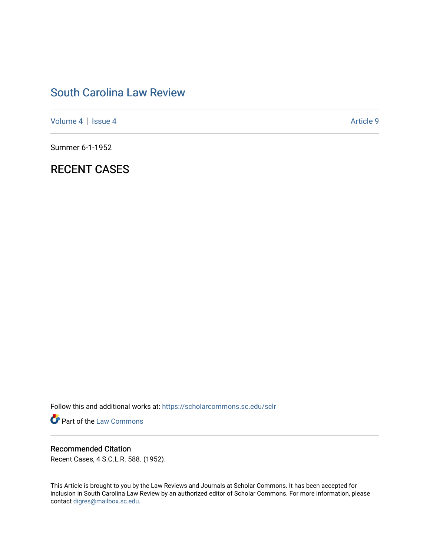# [South Carolina Law Review](https://scholarcommons.sc.edu/sclr)

[Volume 4](https://scholarcommons.sc.edu/sclr/vol4) | [Issue 4](https://scholarcommons.sc.edu/sclr/vol4/iss4) Article 9

Summer 6-1-1952

## RECENT CASES

Follow this and additional works at: [https://scholarcommons.sc.edu/sclr](https://scholarcommons.sc.edu/sclr?utm_source=scholarcommons.sc.edu%2Fsclr%2Fvol4%2Fiss4%2F9&utm_medium=PDF&utm_campaign=PDFCoverPages)

**Part of the [Law Commons](http://network.bepress.com/hgg/discipline/578?utm_source=scholarcommons.sc.edu%2Fsclr%2Fvol4%2Fiss4%2F9&utm_medium=PDF&utm_campaign=PDFCoverPages)** 

### Recommended Citation

Recent Cases, 4 S.C.L.R. 588. (1952).

This Article is brought to you by the Law Reviews and Journals at Scholar Commons. It has been accepted for inclusion in South Carolina Law Review by an authorized editor of Scholar Commons. For more information, please contact [digres@mailbox.sc.edu.](mailto:digres@mailbox.sc.edu)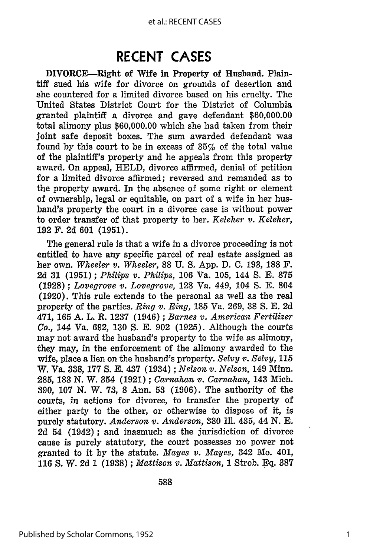### **RECENT CASES**

DIVORCE-Right of Wife in Property of Husband. Plaintiff sued his wife for divorce on grounds of desertion and she countered for a limited divorce based on his cruelty. The United States District Court for the District of Columbia granted plaintiff a divorce and gave defendant \$60,000.00 total alimony plus \$60,000.00 which she had taken from their joint safe deposit boxes. The sum awarded defendant was found by this court to be in excess of 35% of the total value of the plaintiff's property and he appeals from this property award. On appeal, HELD, divorce affirmed, denial of petition for a limited divorce affirmed; reversed and remanded as to the property award. In the absence of some right or element of ownership, legal or equitable, on part of a wife in her husband's property the court in a divorce case is without power to order transfer of that property to her. *Keleher v. Keleher,* **192** F. 2d **601 (1951).**

The general rule is that a wife in a divorce proceeding is not entitled to have any specific parcel of real estate assigned as her own. *Wheeler v. Wheeler,* 88 U. S. App. D. C. 193, **188** F. 2d **31 (1951) ;** *Phillis v. Philips,* 106 Va. 105, 144 S. E. **875** (1928) ; *Lovegrove v. Lovegrove,* 128 Va. 449, 104 S. E. 804 (1920). This rule extends to the personal as well as the real property of the parties. *Ring v. Ring,* 185 Va. 269, 38 S. E. 2d 471, **165** A. L. R. 1237 (1946) ; *Barnes v. American Fertilizer Co.,* 144 Va. 692, 130 S. E. 902 (1925). Although the courts may not award the husband's property to the wife as alimony, they may, in the enforcement of the alimony awarded to the wife, place a lien on the husband's property. *Selvy v. Selvy,* **115** W. Va. 338, **177** S. E. 437 (1934) ; *Nelson v. Nelson,* 149 Minn. 285, **183** N. W. 354 (1921) ; *Carnahan v. Carnahan,* 143 Mich. 390, 107 N. W. 73, **8** Ann. **53** (1906). The authority of the courts, in actions for divorce, to transfer the property of either party to the other, or otherwise to dispose of it, is purely statutory. *Anderson v. Anderson,* 380 Ill. 435, 44 N. E. 2d 54 (1942); and inasmuch as the jurisdiction of divorce cause is purely statutory, the court possesses no power not granted to it by the statute. *Mayes v. Mayes,* 342 Mo. 401, 116 **S.** W. 2d 1 (1938) ; *Mattison v. Mattison,* **1** Strob. Eq. **387**

588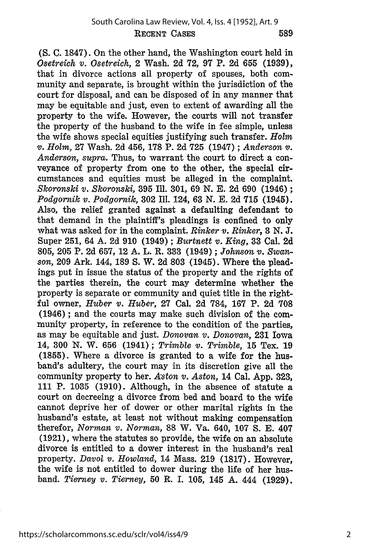**(S.** C. 1847). On the other hand, the Washington court held in *Osetreich v. Osetreich,* 2 Wash. 2d **72,** 97 P. 2d 655 (1939), that in divorce actions all property of spouses, both community and separate, is brought within the jurisdiction of the court for disposal, and can be disposed of in any manner that may be equitable and just, even to extent of awarding all the property to the wife. However, the courts will not transfer the property of the husband to the wife in fee simple, unless the wife shows special equities justifying such transfer. *Holm v. Holm,* **27** Wash. 2d 456, **178** P. 2d 725 (1947) ; *Anderson v. Anderson, supra.* Thus, to warrant the court to direct a conveyance of property from one to the other, the special circumstances and equities must be alleged in the complaint. *Skoronski v. Skoronski,* 395 Ill. 301, 69 N. E. 2d 690 (1946) **;** *Podgornik v. Podgornik,* **302** Ill. 124, **63** N. E. 2d **715** (1945). Also, the relief granted against a defaulting defendant to that demand in the plaintiff's pleadings is confined to only what was asked for in the complaint. *Rinker v. Rinker,* **3** *N. J.* Super 251, 64 A. 2d 910 (1949) ; *Burtnett v. King,* **33** Cal. 2d 805, 205 P. 2d 657, 12 **A.** L. R. **333** (1949) ; *Johnson v. Swan*son, 209 Ark. 144, 189 **S.** W. 2d **803** (1945). Where the pleadings put in issue the status of the property and the rights of the parties therein, the court may determine whether the property is separate or community and quiet title in the rightful owner, *Huber v. Huber,* **27** Cal. 2d 784, **167** P. 2d **708** (1946) ; and the courts may make such division of the community property, in reference to the condition of the parties, as may be equitable and just. *Donovan v. Donovan,* **231** Iowa 14, 300 N. W. 656 (1941); *Trimble v. Trimble,* 15 Tex. 19 (1855). Where a divorce is granted to a wife for the husband's adultery, the court may in its discretion give all the community property to her. *Aston v. Aston,* 14 Cal. App. 323, 111 P. 1035 (1910). Although, in the absence of statute a court on decreeing a divorce from bed and board to the wife cannot deprive her of dower or other marital rights in the husband's estate, at least not without making compensation therefor, *Norman v. Norman,* 88 W. Va. 640, 107 S. **E.** 407 (1921), where the statutes so provide, the wife on an absolute divorce is entitled to a dower interest in the husband's real property. *Davol v. Howland,* 14 Mass. 219 (1817). However, the wife is not entitled to dower during the life of her husband. *Tierney v. Tierney,* **50** R. **I. 105,** 145 A. 444 **(1929).**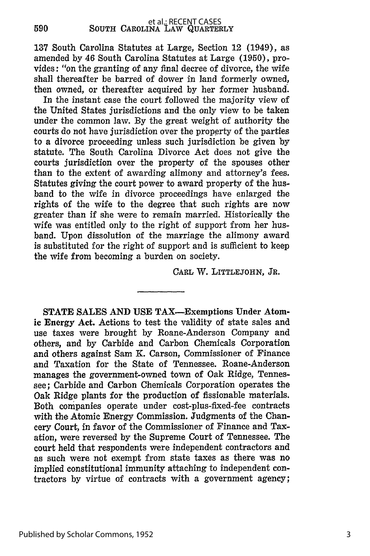137 South Carolina Statutes at Large, Section 12 (1949), as amended by 46 South Carolina Statutes at Large (1950), provides: "on the granting of any final decree of divorce, the wife shall thereafter be barred of dower in land formerly owned, then owned, or thereafter acquired by her former husband.

In the instant case the court followed the majority view of the United States jurisdictions and the only view to be taken under the common law. By the great weight of authority the courts do not have jurisdiction over the property of the parties to a divorce proceeding unless such jurisdiction be given by statute. The South Carolina Divorce Act does not give the courts jurisdiction over the property of the spouses other than to the extent of awarding alimony and attorney's fees. Statutes giving the court power to award property of the husband to the wife in divorce proceedings have enlarged the rights of the wife to the degree that such rights are now greater than if she were to remain married. Historically the wife was entitled only to the right of support from her husband. Upon dissolution of the marriage the alimony award is substituted for the right of support and is sufficient to keep the wife from becoming a burden on society.

CARL W. **LITTLEJOHN, JR.**

STATE **SALES AND USE** TAX-Exemptions Under Atomic Energy Act. Actions to test the validity of state sales and use taxes were brought by Roane-Anderson Company and others, and by Carbide and Carbon Chemicals Corporation and others against Sam **K.** Carson, Commissioner of Finance and Taxation for the State of Tennessee. Roane-Anderson manages the government-owned town of Oak Ridge, Tennessee; Carbide and Carbon Chemicals Corporation operates the Oak Ridge plants for the production of fissionable materials. Both companies operate under cost-plus-fixed-fee contracts with the Atomic Energy Commission. Judgments of the Chancery Court, in favor of the Commissioner of Finance and Taxation, were reversed by the Supreme Court of Tennessee. The court held that respondents were independent contractors and as such were not exempt from state taxes as there was no implied constitutional immunity attaching to independent contractors by virtue of contracts with a government agency;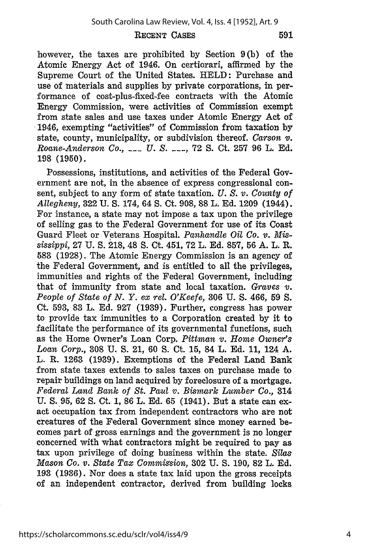#### RECENT CASES

591

however, the taxes are prohibited **by** Section **9(b)** of the Atomic Energy Act of 1946. On certiorari, affirmed **by** the Supreme Court of the United States. **HELD:** Purchase and use of materials and supplies **by** private corporations, in performance of cost-plus-fixed-fee contracts with the Atomic Energy Commission, were activities of Commission exempt from state sales and use taxes under Atomic Energy Act of 1946, exempting "activities" of Commission from taxation **by** state, county, municipality, or subdivision thereof. *Carson v. Roane-Anderson Co., \_\_\_ U. S.* **\_\_\_, 72 S.** Ct. **257** 96 L. **Ed. 198 (1950).**

Possessions, institutions, and activities of the Federal Government are not, in the absence of express congressional consent, subject to any form of state taxation. *U. S. v. County of Allegheny,* **322 U. S.** 174, 64 **S.** Ct. **908, 88** L. **Ed. 1209** (1944). For instance, a state may not impose a tax upon the privilege of selling gas to the Federal Government for use of its Coast Guard Fleet or Veterans Hospital. *Panhandle Oil Co. v. Mississippi,* **27 U. S. 218,** 48 **S.** Ct. 451, **72** L. **Ed. 857, 56 A.** L. R. **583 (1928).** The Atomic Energy Commission is an agency of the Federal Government, and is entitled to all the privileges, immunities and rights of the Federal Government, including that of immunity from state and local taxation. *Graves v. People of State of N. Y. ex rel. O'Keefe,* **306 U. S.** 466, **59 S.** Ct. **593, 83** L. **Ed. 927 (1939).** Further, congress has power to provide tax immunities to a Corporation created **by** it to facilitate the performance of its governmental functions, such as the Home Owner's Loan Corp. *Pittman v. Home Owner's Loan Corp.,* **308 U. S.** 21, **60 S.** Ct. **15,** 84 L. **Ed. 11,** 124 **A.** L. R. **1263 (1939).** Exemptions of the Federal Land Bank from state taxes extends to sales taxes on purchase made to repair buildings on land acquired **by** foreclosure of a mortgage. *Federal Land Bank of St. Paul v. Bismark Lumber Co.,* 314 U. **S. 95,** 62 **S.** Ct. 1, 86 L. Ed. **65** (1941). But a state can exact occupation tax from independent contractors who are not creatures of the Federal Government since money earned becomes part of gross earnings and the government is no longer concerned with what contractors might be required to pay as tax upon privilege of doing business within the state. *Silas Mason Co. v. State Tax Commission,* **302** U. S. 190, 82 L. Ed. **193** (1936). Nor does a state tax laid upon the gross receipts of an independent contractor, derived from building locks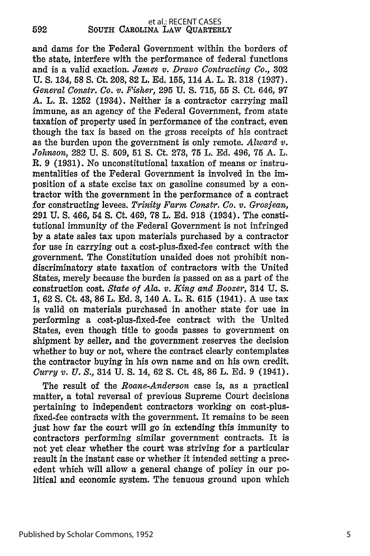and dams for the Federal Government within the borders of the state, interfere with the performance of federal functions and is a valid exaction. *James v. Dravo Contracting Co.,* 302 U. S. 134, 58 **S.** Ct. 208, 82 L. Ed. 155, 114 A. L. R. **318** (1937). *General Constr. Co. v. Fisher,* 295 U. S. 715, 55 **S.** Ct. 646, 97 A. L. R. 1252 (1934). Neither is a contractor carrying mail immune, as an agency of the Federal Government, from state taxation of property used in performance of the contract, even though the tax is based on the gross receipts of his contract as the burden upon the government is only remote. *Alward v. Johnson,* 282 U. **S.** 509, 51 *S.* Ct. 273, **75** L. Ed. 496, **75** A. L. R. 9 (1931). No unconstitutional taxation of means or instrumentalities of the Federal Government is involved in the imposition of a state excise tax on gasoline consumed by a contractor with the government in the performance of a contract for constructing levees. *Trinity Farm Constr. Co. v. GrosJean,* 291 U. **S.** 466, 54 **S.** Ct. 469, 78 L. Ed. 918 (1934). The constitutional immunity of the Federal Government is not infringed by a state sales tax upon materials purchased by a contractor for use in carrying out a cost-plus-fixed-fee contract with the government. The Constitution unaided does not prohibit nondiscriminatory state taxation of contractors with the United States, merely because the burden is passed on as a part of the construction cost. *State of Ala. v. King and Boozer,* 314 U. S. **1,** 62 **S.** Ct. 43, 86 L. Ed. 3, 140 A. L. R. 615 (1941). A use tax is valid on materials purchased in another state for use in performing a cost-plus-fixed-fee contract with the United States, even though title to goods passes to government on shipment by seller, and the government reserves the decision whether to buy or not, where the contract clearly contemplates the contractor buying in his own name and on his own credit. *Curry v. U. S.,* 314 U. **S.** 14, 62 **S.** Ct. 48, 86 L. Ed. 9 (1941).

The result of the *Roane-Anderson* case is, as a practical matter, a total reversal of previous Supreme Court decisions pertaining to independent contractors working on cost-plusfixed-fee contracts with the government. It remains to be seen just how far the court will go in extending this immunity to contractors performing similar government contracts. It is not yet clear whether the court was striving for a particular result in the instant case or whether it intended setting a precedent which will allow a general change of policy in our political and economic system. The tenuous ground upon which

**592**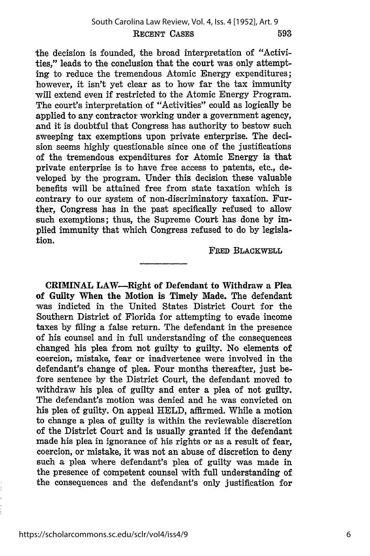the decision is founded, the broad interpretation of "Activities," leads to the conclusion that the court was only attempting to reduce the tremendous Atomic Energy expenditures; however, it isn't yet clear as to how far the tax immunity will extend even if restricted to the Atomic Energy Program. The court's interpretation of "Activities" could as logically be applied to any contractor working under a government agency, and it is doubtful that Congress has authority to bestow such sweeping tax exemptions upon private enterprise. The decision seems **highly** questionable since one of the justifications of the tremendous expenditures for Atomic Energy is that private enterprise is to have free access to patents, etc., developed **by** the program. Under this decision these valuable benefits will be attained free from state taxation which is contrary to our system of non-discriminatory taxation. Further, Congress has in the past specifically refused to allow such exemptions; thus, the Supreme Court has done **by** implied immunity that which Congress refused to do **by** legislation.

**FRED** BLACKWELL

CRIMINAL LAW-Right of Defendant to Withdraw a Plea **of** Guilty When the Motion is Timely Made. The defendant was indicted in the United States District Court for the Southern District of Florida for attempting to evade income taxes **by filing** a false return. The defendant in the presence of his counsel and in full understanding of the consequences changed his plea from not guilty to guilty. No elements of coercion, mistake, fear or inadvertence were involved in the defendant's change of plea. Four months thereafter, just before sentence **by** the District Court, the defendant moved to withdraw his plea of guilty and enter a plea of not guilty. The defendant's motion was denied and he was convicted on his plea of guilty. On appeal **HELD,** affirmed. While a motion to change a plea of guilty is within the reviewable discretion of the District Court and is usually granted if the defendant made his plea in ignorance of his rights or as a result of fear, coercion, or mistake, it was not an abuse of discretion to deny such a plea where defendant's plea of guilty was made in the presence of competent counsel with full understanding of the consequences and the defendant's only justification for

6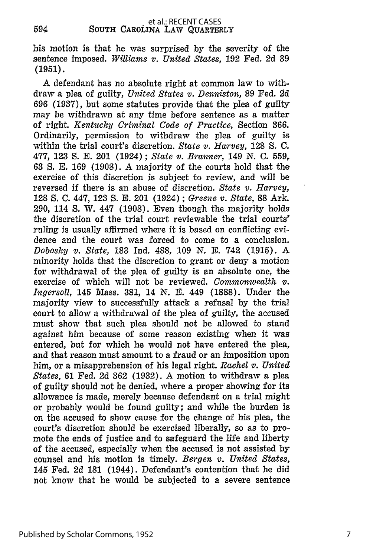594

his motion is that he was surprised by the severity of the sentence imposed. *Williams v. United States,* **192** Fed. 2d 39 (1951).

A defendant has no absolute right at common law to withdraw a plea of guilty, *United States v. Denniston,* 89 Fed. 2d 696 (1937), but some statutes provide that the plea of guilty may be withdrawn at any time before sentence as a matter of right. *Kentucky Criminal Code of Practice,* Section 366. Ordinarily, permission to withdraw the plea of guilty is within the trial court's discretion. *State v. Harvey,* 128 S. C. 477, 123 **S.** E. 201 (1924) ; *State v. Branner,* 149 N. C. 559, **63** *S.* E. 169 (1908). A majority of the courts hold that the exercise of this discretion is subject to review, and will be reversed if there is an abuse of discretion. *State v. Harvey,* 128 **S.** C. 447, 123 **S.** E. 201 (1924) ; *Greene v. State,* 88 Ark. 290, 114 **S.** W. 447 (1908). Even though the majority holds the discretion of the trial court reviewable the trial courts' ruling is usually affirmed where it is based on conflicting evidence and the court was forced to come to a conclusion. *Dobosky v. State,* 183 Ind. 488, 109 N. E. 742 (1915). A minority holds that the discretion to grant or deny a motion for withdrawal of the plea of guilty is an absolute one, the exercise of which will not be reviewed. *Commonwealth v. Ingersoll,* 145 Mass. 381, 14 N. E. 449 (1888). Under the majority view to successfully attack a refusal by the trial court to allow a withdrawal of the plea of guilty, the accused must show that such plea should not be allowed to stand against him because of some reason existing when it was entered, but for which he would not have entered the plea, and that reason must amount to a fraud or an imposition upon him, or a misapprehension of his legal right. *Rachel v. United States,* 61 Fed. 2d 362 (1932). A motion to withdraw a plea of guilty should not be denied, where a proper showing for its allowance is made, merely because defendant on a trial might or probably would be found guilty; and while the burden is on the accused to show cause for the change of his plea, the court's discretion should be exercised liberally, so as to promote the ends of justice and to safeguard the life and liberty of the accused, especially when the accused is not assisted by counsel and his motion is timely. *Bergen v. United States,* 145 Fed. 2d 181 (1944). Defendant's contention that he did not know that he would be subjected to a severe sentence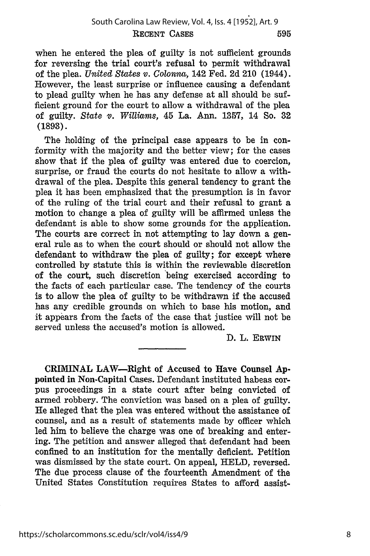when he entered the plea of guilty is not sufficient grounds for reversing the trial court's refusal to permit withdrawal of the plea. *United States v. Colonna,* 142 Fed. **2d** 210 (1944). However, the least surprise or influence causing a defendant to plead guilty when he has any defense at all should be sufficient ground for the court to allow a withdrawal of the plea of guilty. *State v. Williams,* 45 La. Ann, **1357,** 14 So. **32 (1893).**

The holding of the principal case appears to be in conformity with the majority and the better view; for the cases show that if the plea of guilty was entered due to coercion, surprise, or fraud the courts do not hesitate to allow a withdrawal of the plea. Despite this general tendency to grant the plea it has been emphasized that the presumption is in favor of the ruling of the trial court and their refusal to grant a motion to change a plea of guilty will be affirmed unless the defendant is able to show some grounds for the application. The courts are correct in not attempting to lay down a general rule as to when the court should or should not allow the defendant to withdraw the plea of guilty; for except where controlled **by** statute this is within the reviewable discretion of the court, such discretion being exercised according to the facts of each particular case. The tendency of the courts is to allow the plea of guilty to be withdrawn if the accused has any credible grounds on which to base his motion, and it appears from the facts of the case that justice will not be served unless the accused's motion is allowed.

D. L. ERWIN

CRIMINAL LAW-Right of Accused to Have Counsel **Ap**pointed in Non-Capital Cases. Defendant instituted habeas corpus proceedings in a state court after being convicted of armed robbery. The conviction was based on a plea of guilty. He alleged that the plea was entered without the assistance of counsel, and as a result of statements made by officer which led him to believe the charge was one of breaking and entering. The petition and answer alleged that defendant had been confined to an institution for the mentally deficient. Petition was dismissed by the state court. On appeal, HELD, reversed. The due process clause of the fourteenth Amendment of the United States Constitution requires States to afford assist-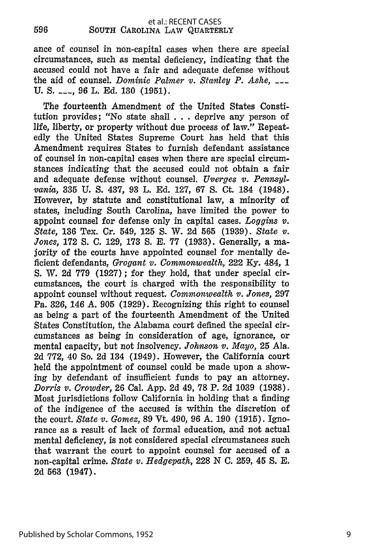ance of counsel in non-capital cases when there are special circumstances, such as mental deficiency, indicating that the accused could not have a fair and adequate defense without the aid of counsel. *Dominic Palmer v. Stanley P. Ashe,* U. *S. \_\_\_,* 96 L. Ed. 130 (1951).

The fourteenth Amendment of the United States Constitution provides; "No state shall . . **.** deprive any person of life, liberty, or property without due process of law." Repeatedly the United States Supreme Court has held that this Amendment requires States to furnish defendant assistance of counsel in non-capital cases when there are special circumstances indicating that the accused could not obtain a fair and adequate defense without counsel. *Uverges v. Pennsylvania,* 335 U. **S.** 437, 93 L. Ed. 127, 67 S. Ct. 184 (1948). However, by statute and constitutional law, a minority of states, including South Carolina, have limited the power to appoint counsel for defense only in capital cases. *Loggins v. State,* 136 Tex. Cr. 549, 125 **S.** W. 2d 565 (1939). *State v. Jones,* 172 **S.** C. 129, 173 **S.** E. 77 (1933). Generally, a majority of the courts have appointed counsel for mentally deficient defendants, *Grogant v. Commonwealth,* 222 Ky. 484, 1 S. W. 2d 779 (1927); for they hold, that under special circumstances, the court is charged with the responsibility to appoint counsel without request. *Commonwealth v. Jones,* 297 Pa. 326, 146 A. 905 (1929). Recognizing this right to counsel as being a part of the fourteenth Amendment of the United States Constitution, the Alabama court defined the special circumstances as being in consideration of age, ignorance, or mental capacity, but not insolvency. *Johnson v. Mayo,* 25 Ala. 2d 772, 40 So. 2d 134 (1949). However, the California court held the appointment of counsel could be made upon a showing by defendant of insufficient funds to pay an attorney. *Dorris v. Crowder,* 26 Cal. App. 2d 49, 78 P. 2d 1039 (1938). Most jurisdictions follow California in holding that a finding of the indigence of the accused is within the discretion of the court. *State v. Gomez,* 89 Vt. 490, 96 A. 190 (1915). Ignorance as a result of lack of formal education, and not actual mental deficiency, is not considered special circumstances such that warrant the court to appoint counsel for accused of a non-capital crime. *State v. Hedgepath,* 228 N C. 259, 45 **S.** E. 2d 563 (1947).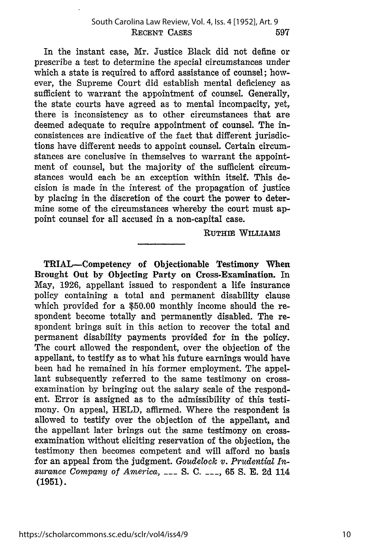In the instant case, Mr. Justice Black did not define or prescribe a test to determine the special circumstances under which a state is required to afford assistance of counsel; however, the Supreme Court did establish mental deficiency as sufficient to warrant the appointment of counsel. Generally, the state courts have agreed as to mental incompacity, yet, there is inconsistency as to other circumstances that are deemed adequate to require appointment of counsel. The inconsistences are indicative of the fact that different jurisdictions have different needs to appoint counsel. Certain circumstances are conclusive in themselves to warrant the appointment of counsel, but the majority of the sufficient circumstances would each be an exception within itself. This decision is made in the interest of the propagation of justice by placing in the discretion of the court the power to determine some of the circumstances whereby the court must appoint counsel for all accused in a non-capital case.

RUTHIE WILLIAMS

TRIAL-Competency of Objectionable Testimony When Brought Out **by** Objecting Party on Cross-Examination. In May, **1926,** appellant issued to respondent a life insurance policy containing a total and permanent disability clause which provided for a **\$50.00** monthly income should the respondent become totally and permanently disabled. The respondent brings suit in this action to recover the total and permanent disability payments provided for in the policy. The court allowed the respondent, over the objection of the appellant, to testify as to what his future earnings would have been had he remained in his former employment. The appellant subsequently referred to the same testimony on crossexamination **by** bringing out the salary scale of the respondent. Error is assigned as to the admissibility of this testimony. On appeal, HELD, affirmed. Where the respondent is allowed to testify over the objection of the appellant, and the appellant later brings out the same testimony on crossexamination without eliciting reservation of the objection, the testimony then becomes competent and will afford no basis for an appeal from the judgment. *Goudelock v. Prudential Insurance Company of America,* **\_\_\_** S. **C. \_\_\_,** 65 S. E. 2d 114 **(1951).**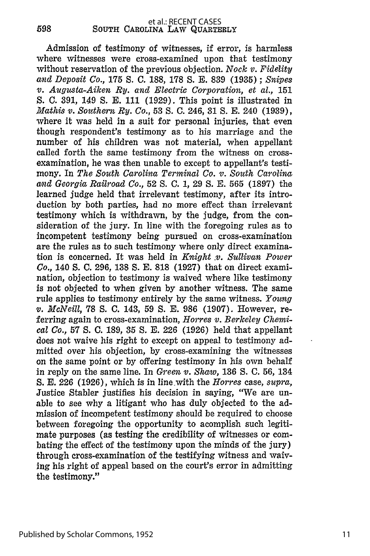598

Admission of testimony of witnesses, if error, is harmless where witnesses were cross-examined upon that testimony without reservation of the previous objection. *Nock v. Fidelity and Deposit Co.,* 175 S. C. 188, 178 S. E. 839 (1935) ; *Snipes v. Augusta-Aiken Ry. and Electric Corporation, et al.,* 151 S. **C.** 391, 149 **S.** E. 111 (1929). This point is illustrated in *Mathis v. Southern Ry. Co.,* 53 **S.** C. 246, 31 S. E. 240 (1939), where it was held in a suit for personal injuries, that even though respondent's testimony as to his marriage and the number of his children was not material, when appellant called forth the same testimony from the witness on crossexamination, he was then unable to except to appellant's testimony. In *The South Carolina Terminal Co. v. South Carolina and Georgia Railroad Co.,* 52 S. C. 1, 29 S. E. 565 (1897) the learned judge held that irrelevant testimony, after its introduction by both parties, had no more effect than irrelevant testimony which is withdrawn, by the judge, from the consideration of the jury. In line with the foregoing rules as to incompetent testimony being pursued on cross-examination are the rules as to such testimony where only direct examination is concerned. It was held in *Knight .v. Sullivan Power Co.,* 140 **S.** C. 296, 138 S. E. 818 (1927) that on direct examination, objection to testimony is waived where like testimony is not objected to when given by another witness. The same rule applies to testimony entirely by the same witness. *Young v. McNeill,* 78 **S.** C. 143, 59 S. E. 986 (1907). However, referring again to cross-examination, *Horres v. Berkeley Chemical Co.,* 57 **S.** C. 189, 35 **S.** E. 226 (1926) held that appellant does not waive his right to except on appeal to testimony admitted over his objection, by cross-examining the witnesses on the same point or by offering testimony in his own behalf in reply on the same line. In *Green v. Shaw,* 136 **S.** C. 56, 134 S. E. 226 (1926), which is in line with the *Horres* case, *supra,* Justice Stabler justifies his decision in saying, "We are unable to see why a litigant who has duly objected to the admission of incompetent testimony should be required to choose between foregoing the opportunity to acomplish such legitimate purposes (as testing the credibility of witnesses or combating the effect of the testimony upon the minds of the jury) through cross-examination of the testifying witness and waiving his right of appeal based on the court's error in admitting the testimony."